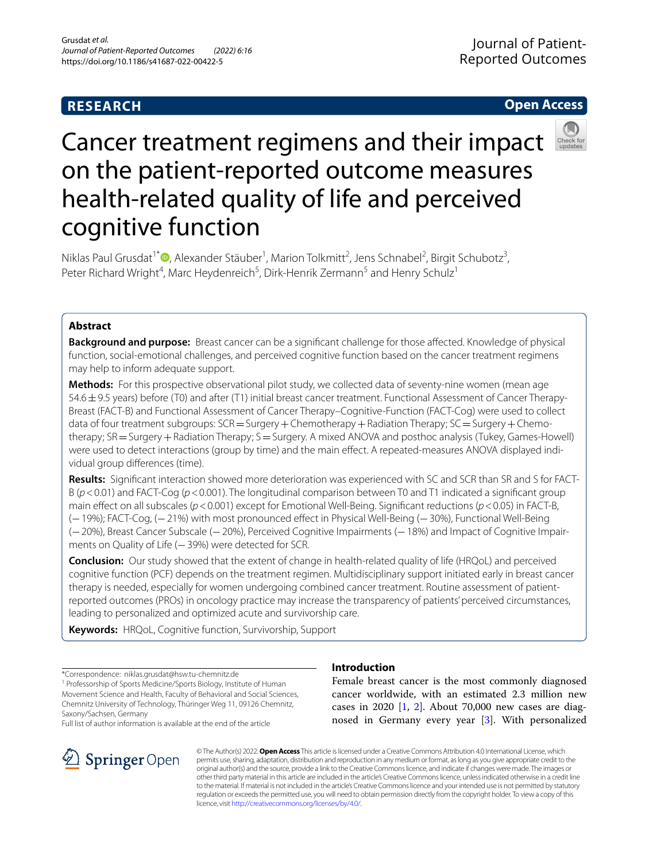# **RESEARCH**

# **Open Access**



# Cancer treatment regimens and their impact on the patient-reported outcome measures health-related quality of life and perceived cognitive function

Niklas Paul Grusdat<sup>1\*</sup><sup>®</sup>[,](http://orcid.org/0000-0002-8584-3175) Alexander Stäuber<sup>1</sup>, Marion Tolkmitt<sup>2</sup>, Jens Schnabel<sup>2</sup>, Birgit Schubotz<sup>3</sup>, Peter Richard Wright<sup>4</sup>, Marc Heydenreich<sup>5</sup>, Dirk-Henrik Zermann<sup>5</sup> and Henry Schulz<sup>1</sup>

# **Abstract**

**Background and purpose:** Breast cancer can be a signifcant challenge for those afected. Knowledge of physical function, social-emotional challenges, and perceived cognitive function based on the cancer treatment regimens may help to inform adequate support.

**Methods:** For this prospective observational pilot study, we collected data of seventy-nine women (mean age 54.6±9.5 years) before (T0) and after (T1) initial breast cancer treatment. Functional Assessment of Cancer Therapy-Breast (FACT-B) and Functional Assessment of Cancer Therapy–Cognitive-Function (FACT-Cog) were used to collect data of four treatment subgroups:  $SCR = Surgery + Chemotherapy + Radiation Theory$ ;  $SC = Surgery + Chemo$ therapy; SR = Surgery + Radiation Therapy; S = Surgery. A mixed ANOVA and posthoc analysis (Tukey, Games-Howell) were used to detect interactions (group by time) and the main effect. A repeated-measures ANOVA displayed individual group diferences (time).

**Results:** Signifcant interaction showed more deterioration was experienced with SC and SCR than SR and S for FACT-B (*p*<0.01) and FACT-Cog (*p*<0.001). The longitudinal comparison between T0 and T1 indicated a signifcant group main effect on all subscales ( $p < 0.001$ ) except for Emotional Well-Being. Significant reductions ( $p < 0.05$ ) in FACT-B, (−19%); FACT-Cog, (−21%) with most pronounced efect in Physical Well-Being (−30%), Functional Well-Being (−20%), Breast Cancer Subscale (−20%), Perceived Cognitive Impairments (−18%) and Impact of Cognitive Impair‑ ments on Quality of Life (−39%) were detected for SCR.

**Conclusion:** Our study showed that the extent of change in health-related quality of life (HRQoL) and perceived cognitive function (PCF) depends on the treatment regimen. Multidisciplinary support initiated early in breast cancer therapy is needed, especially for women undergoing combined cancer treatment. Routine assessment of patientreported outcomes (PROs) in oncology practice may increase the transparency of patients' perceived circumstances, leading to personalized and optimized acute and survivorship care.

**Keywords:** HRQoL, Cognitive function, Survivorship, Support

\*Correspondence: niklas.grusdat@hsw.tu-chemnitz.de

<sup>1</sup> Professorship of Sports Medicine/Sports Biology, Institute of Human Movement Science and Health, Faculty of Behavioral and Social Sciences, Chemnitz University of Technology, Thüringer Weg 11, 09126 Chemnitz, Saxony/Sachsen, Germany

Full list of author information is available at the end of the article



# **Introduction**

Female breast cancer is the most commonly diagnosed cancer worldwide, with an estimated 2.3 million new cases in 2020 [[1,](#page-11-0) [2\]](#page-11-1). About 70,000 new cases are diagnosed in Germany every year [[3\]](#page-11-2). With personalized

© The Author(s) 2022. **Open Access** This article is licensed under a Creative Commons Attribution 4.0 International License, which permits use, sharing, adaptation, distribution and reproduction in any medium or format, as long as you give appropriate credit to the original author(s) and the source, provide a link to the Creative Commons licence, and indicate if changes were made. The images or other third party material in this article are included in the article's Creative Commons licence, unless indicated otherwise in a credit line to the material. If material is not included in the article's Creative Commons licence and your intended use is not permitted by statutory regulation or exceeds the permitted use, you will need to obtain permission directly from the copyright holder. To view a copy of this licence, visit [http://creativecommons.org/licenses/by/4.0/.](http://creativecommons.org/licenses/by/4.0/)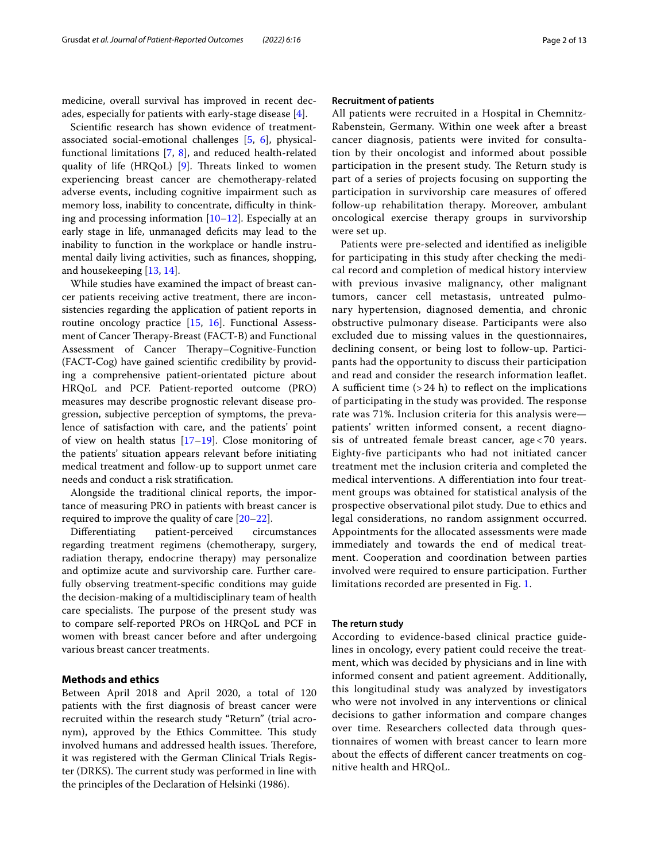medicine, overall survival has improved in recent decades, especially for patients with early-stage disease [\[4](#page-11-3)].

Scientifc research has shown evidence of treatmentassociated social-emotional challenges [[5,](#page-11-4) [6\]](#page-11-5), physicalfunctional limitations [[7,](#page-11-6) [8\]](#page-11-7), and reduced health-related quality of life  $(HRQoL)$  [\[9](#page-11-8)]. Threats linked to women experiencing breast cancer are chemotherapy-related adverse events, including cognitive impairment such as memory loss, inability to concentrate, difficulty in thinking and processing information [\[10](#page-11-9)[–12\]](#page-11-10). Especially at an early stage in life, unmanaged deficits may lead to the inability to function in the workplace or handle instrumental daily living activities, such as fnances, shopping, and housekeeping [[13,](#page-11-11) [14](#page-11-12)].

While studies have examined the impact of breast cancer patients receiving active treatment, there are inconsistencies regarding the application of patient reports in routine oncology practice [\[15](#page-11-13), [16](#page-11-14)]. Functional Assessment of Cancer Therapy-Breast (FACT-B) and Functional Assessment of Cancer Therapy–Cognitive-Function (FACT-Cog) have gained scientifc credibility by providing a comprehensive patient-orientated picture about HRQoL and PCF. Patient-reported outcome (PRO) measures may describe prognostic relevant disease progression, subjective perception of symptoms, the prevalence of satisfaction with care, and the patients' point of view on health status  $[17–19]$  $[17–19]$  $[17–19]$ . Close monitoring of the patients' situation appears relevant before initiating medical treatment and follow-up to support unmet care needs and conduct a risk stratifcation.

Alongside the traditional clinical reports, the importance of measuring PRO in patients with breast cancer is required to improve the quality of care [\[20](#page-11-17)[–22](#page-11-18)].

Diferentiating patient-perceived circumstances regarding treatment regimens (chemotherapy, surgery, radiation therapy, endocrine therapy) may personalize and optimize acute and survivorship care. Further carefully observing treatment-specifc conditions may guide the decision-making of a multidisciplinary team of health care specialists. The purpose of the present study was to compare self-reported PROs on HRQoL and PCF in women with breast cancer before and after undergoing various breast cancer treatments.

# **Methods and ethics**

Between April 2018 and April 2020, a total of 120 patients with the frst diagnosis of breast cancer were recruited within the research study "Return" (trial acronym), approved by the Ethics Committee. This study involved humans and addressed health issues. Therefore, it was registered with the German Clinical Trials Register (DRKS). The current study was performed in line with the principles of the Declaration of Helsinki (1986).

# **Recruitment of patients**

All patients were recruited in a Hospital in Chemnitz-Rabenstein, Germany. Within one week after a breast cancer diagnosis, patients were invited for consultation by their oncologist and informed about possible participation in the present study. The Return study is part of a series of projects focusing on supporting the participation in survivorship care measures of ofered follow-up rehabilitation therapy. Moreover, ambulant oncological exercise therapy groups in survivorship were set up.

Patients were pre-selected and identifed as ineligible for participating in this study after checking the medical record and completion of medical history interview with previous invasive malignancy, other malignant tumors, cancer cell metastasis, untreated pulmonary hypertension, diagnosed dementia, and chronic obstructive pulmonary disease. Participants were also excluded due to missing values in the questionnaires, declining consent, or being lost to follow-up. Participants had the opportunity to discuss their participation and read and consider the research information leafet. A sufficient time  $(> 24 h)$  to reflect on the implications of participating in the study was provided. The response rate was 71%. Inclusion criteria for this analysis were patients' written informed consent, a recent diagnosis of untreated female breast cancer, age < 70 years. Eighty-fve participants who had not initiated cancer treatment met the inclusion criteria and completed the medical interventions. A diferentiation into four treatment groups was obtained for statistical analysis of the prospective observational pilot study. Due to ethics and legal considerations, no random assignment occurred. Appointments for the allocated assessments were made immediately and towards the end of medical treatment. Cooperation and coordination between parties involved were required to ensure participation. Further limitations recorded are presented in Fig. [1.](#page-2-0)

# **The return study**

According to evidence-based clinical practice guidelines in oncology, every patient could receive the treatment, which was decided by physicians and in line with informed consent and patient agreement. Additionally, this longitudinal study was analyzed by investigators who were not involved in any interventions or clinical decisions to gather information and compare changes over time. Researchers collected data through questionnaires of women with breast cancer to learn more about the efects of diferent cancer treatments on cognitive health and HRQoL.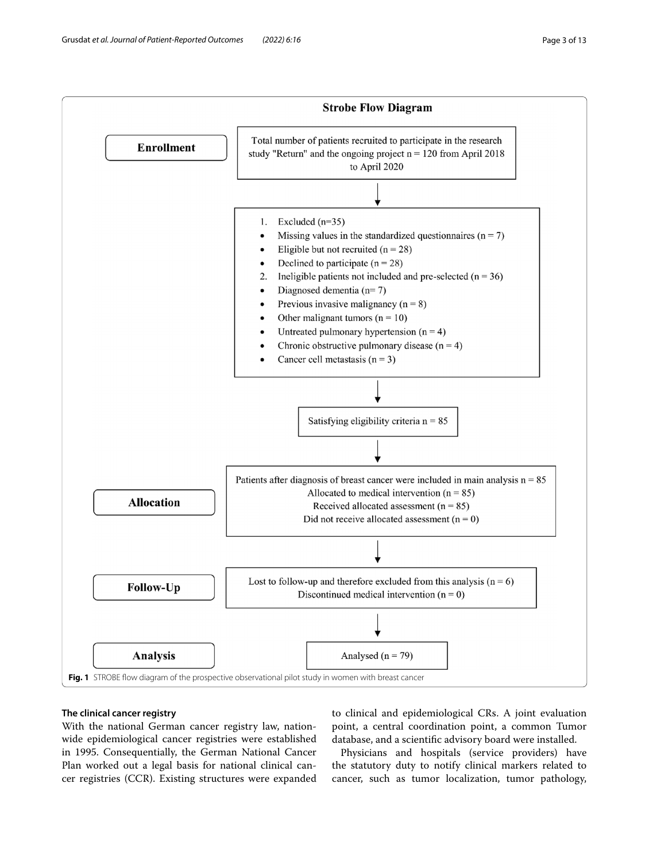

# <span id="page-2-0"></span>**The clinical cancer registry**

With the national German cancer registry law, nationwide epidemiological cancer registries were established in 1995. Consequentially, the German National Cancer Plan worked out a legal basis for national clinical cancer registries (CCR). Existing structures were expanded

to clinical and epidemiological CRs. A joint evaluation point, a central coordination point, a common Tumor database, and a scientifc advisory board were installed.

Physicians and hospitals (service providers) have the statutory duty to notify clinical markers related to cancer, such as tumor localization, tumor pathology,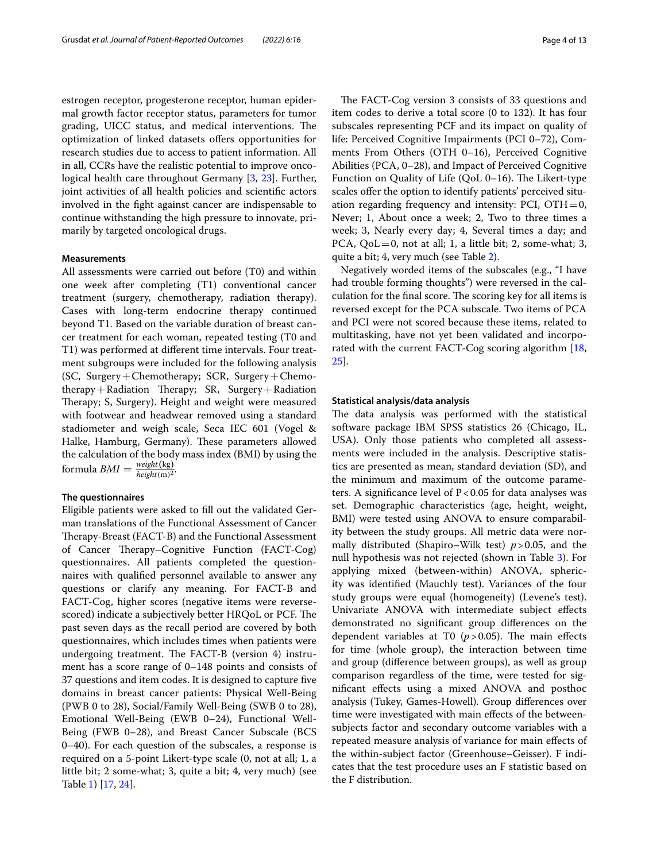estrogen receptor, progesterone receptor, human epidermal growth factor receptor status, parameters for tumor grading, UICC status, and medical interventions. The optimization of linked datasets ofers opportunities for research studies due to access to patient information. All in all, CCRs have the realistic potential to improve oncological health care throughout Germany [[3](#page-11-2), [23\]](#page-11-19). Further, joint activities of all health policies and scientifc actors involved in the fght against cancer are indispensable to continue withstanding the high pressure to innovate, primarily by targeted oncological drugs.

## **Measurements**

All assessments were carried out before (T0) and within one week after completing (T1) conventional cancer treatment (surgery, chemotherapy, radiation therapy). Cases with long-term endocrine therapy continued beyond T1. Based on the variable duration of breast cancer treatment for each woman, repeated testing (T0 and T1) was performed at diferent time intervals. Four treatment subgroups were included for the following analysis (SC, Surgery+Chemotherapy; SCR, Surgery+Chemotherapy + Radiation Therapy; SR, Surgery + Radiation Therapy; S, Surgery). Height and weight were measured with footwear and headwear removed using a standard stadiometer and weigh scale, Seca IEC 601 (Vogel & Halke, Hamburg, Germany). These parameters allowed the calculation of the body mass index (BMI) by using the formula  $\textit{BMI} = \frac{\textit{weight}(\text{kg})}{\textit{height}(\text{m})^2}.$ 

#### **The questionnaires**

Eligible patients were asked to fll out the validated German translations of the Functional Assessment of Cancer Therapy-Breast (FACT-B) and the Functional Assessment of Cancer Therapy–Cognitive Function (FACT-Cog) questionnaires. All patients completed the questionnaires with qualifed personnel available to answer any questions or clarify any meaning. For FACT-B and FACT-Cog, higher scores (negative items were reversescored) indicate a subjectively better HRQoL or PCF. The past seven days as the recall period are covered by both questionnaires, which includes times when patients were undergoing treatment. The FACT-B (version 4) instrument has a score range of 0–148 points and consists of 37 questions and item codes. It is designed to capture fve domains in breast cancer patients: Physical Well-Being (PWB 0 to 28), Social/Family Well-Being (SWB 0 to 28), Emotional Well-Being (EWB 0–24), Functional Well-Being (FWB 0–28), and Breast Cancer Subscale (BCS 0–40). For each question of the subscales, a response is required on a 5-point Likert-type scale (0, not at all; 1, a little bit; 2 some-what; 3, quite a bit; 4, very much) (see Table [1](#page-4-0)) [[17,](#page-11-15) [24](#page-11-20)].

The FACT-Cog version 3 consists of 33 questions and item codes to derive a total score (0 to 132). It has four subscales representing PCF and its impact on quality of life: Perceived Cognitive Impairments (PCI 0–72), Comments From Others (OTH 0–16), Perceived Cognitive Abilities (PCA, 0–28), and Impact of Perceived Cognitive Function on Quality of Life (QoL  $0-16$ ). The Likert-type scales offer the option to identify patients' perceived situation regarding frequency and intensity: PCI,  $\text{OTH} = 0$ , Never; 1, About once a week; 2, Two to three times a week; 3, Nearly every day; 4, Several times a day; and PCA,  $QoL=0$ , not at all; 1, a little bit; 2, some-what; 3, quite a bit; 4, very much (see Table [2](#page-5-0)).

Negatively worded items of the subscales (e.g., "I have had trouble forming thoughts") were reversed in the calculation for the final score. The scoring key for all items is reversed except for the PCA subscale. Two items of PCA and PCI were not scored because these items, related to multitasking, have not yet been validated and incorporated with the current FACT-Cog scoring algorithm [[18](#page-11-21), [25\]](#page-11-22).

# **Statistical analysis/data analysis**

The data analysis was performed with the statistical software package IBM SPSS statistics 26 (Chicago, IL, USA). Only those patients who completed all assessments were included in the analysis. Descriptive statistics are presented as mean, standard deviation (SD), and the minimum and maximum of the outcome parameters. A significance level of  $P < 0.05$  for data analyses was set. Demographic characteristics (age, height, weight, BMI) were tested using ANOVA to ensure comparability between the study groups. All metric data were normally distributed (Shapiro–Wilk test) *p*>0.05, and the null hypothesis was not rejected (shown in Table [3](#page-6-0)). For applying mixed (between-within) ANOVA, sphericity was identifed (Mauchly test). Variances of the four study groups were equal (homogeneity) (Levene's test). Univariate ANOVA with intermediate subject efects demonstrated no signifcant group diferences on the dependent variables at T0  $(p > 0.05)$ . The main effects for time (whole group), the interaction between time and group (diference between groups), as well as group comparison regardless of the time, were tested for signifcant efects using a mixed ANOVA and posthoc analysis (Tukey, Games-Howell). Group diferences over time were investigated with main efects of the betweensubjects factor and secondary outcome variables with a repeated measure analysis of variance for main efects of the within-subject factor (Greenhouse–Geisser). F indicates that the test procedure uses an F statistic based on the F distribution.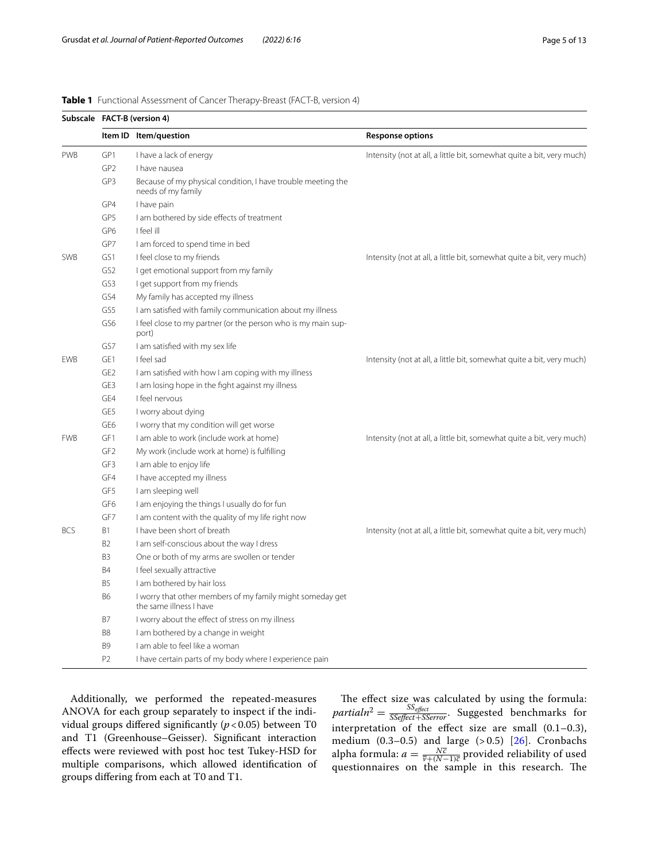|            | Subscale FACT-B (version 4) |                                                                                      |                                                                       |  |  |  |  |
|------------|-----------------------------|--------------------------------------------------------------------------------------|-----------------------------------------------------------------------|--|--|--|--|
|            |                             | Item ID Item/question                                                                | <b>Response options</b>                                               |  |  |  |  |
| <b>PWB</b> | GP1                         | I have a lack of energy                                                              | Intensity (not at all, a little bit, somewhat quite a bit, very much) |  |  |  |  |
|            | GP <sub>2</sub>             | I have nausea                                                                        |                                                                       |  |  |  |  |
|            | GP3                         | Because of my physical condition, I have trouble meeting the<br>needs of my family   |                                                                       |  |  |  |  |
|            | GP4                         | I have pain                                                                          |                                                                       |  |  |  |  |
|            | GP5                         | I am bothered by side effects of treatment                                           |                                                                       |  |  |  |  |
|            | GP <sub>6</sub>             | I feel ill                                                                           |                                                                       |  |  |  |  |
|            | GP7                         | I am forced to spend time in bed                                                     |                                                                       |  |  |  |  |
| <b>SWB</b> | GS1                         | I feel close to my friends                                                           | Intensity (not at all, a little bit, somewhat quite a bit, very much) |  |  |  |  |
|            | GS <sub>2</sub>             | I get emotional support from my family                                               |                                                                       |  |  |  |  |
|            | GS3                         | I get support from my friends                                                        |                                                                       |  |  |  |  |
|            | GS4                         | My family has accepted my illness                                                    |                                                                       |  |  |  |  |
|            | GS5                         | I am satisfied with family communication about my illness                            |                                                                       |  |  |  |  |
|            | GS <sub>6</sub>             | I feel close to my partner (or the person who is my main sup-<br>port)               |                                                                       |  |  |  |  |
|            | GS7                         | I am satisfied with my sex life                                                      |                                                                       |  |  |  |  |
| <b>EWB</b> | GE1                         | I feel sad                                                                           | Intensity (not at all, a little bit, somewhat quite a bit, very much) |  |  |  |  |
|            | GE <sub>2</sub>             | I am satisfied with how I am coping with my illness                                  |                                                                       |  |  |  |  |
|            | GE3                         | I am losing hope in the fight against my illness                                     |                                                                       |  |  |  |  |
|            | GE4                         | I feel nervous                                                                       |                                                                       |  |  |  |  |
|            | GE5                         | I worry about dying                                                                  |                                                                       |  |  |  |  |
|            | GE6                         | I worry that my condition will get worse                                             |                                                                       |  |  |  |  |
| <b>FWB</b> | GF1                         | I am able to work (include work at home)                                             | Intensity (not at all, a little bit, somewhat quite a bit, very much) |  |  |  |  |
|            | GF <sub>2</sub>             | My work (include work at home) is fulfilling                                         |                                                                       |  |  |  |  |
|            | GF3                         | I am able to enjoy life                                                              |                                                                       |  |  |  |  |
|            | GF4                         | I have accepted my illness                                                           |                                                                       |  |  |  |  |
|            | GF5                         | I am sleeping well                                                                   |                                                                       |  |  |  |  |
|            | GF <sub>6</sub>             | I am enjoying the things I usually do for fun                                        |                                                                       |  |  |  |  |
|            | GF7                         | I am content with the quality of my life right now                                   |                                                                       |  |  |  |  |
| <b>BCS</b> | B <sub>1</sub>              | I have been short of breath                                                          | Intensity (not at all, a little bit, somewhat quite a bit, very much) |  |  |  |  |
|            | B <sub>2</sub>              | I am self-conscious about the way I dress                                            |                                                                       |  |  |  |  |
|            | B <sub>3</sub>              | One or both of my arms are swollen or tender                                         |                                                                       |  |  |  |  |
|            | <b>B4</b>                   | I feel sexually attractive                                                           |                                                                       |  |  |  |  |
|            | B <sub>5</sub>              | I am bothered by hair loss                                                           |                                                                       |  |  |  |  |
|            | <b>B6</b>                   | I worry that other members of my family might someday get<br>the same illness I have |                                                                       |  |  |  |  |
|            | B7                          | I worry about the effect of stress on my illness                                     |                                                                       |  |  |  |  |
|            | B <sub>8</sub>              | I am bothered by a change in weight                                                  |                                                                       |  |  |  |  |
|            | B <sub>9</sub>              | I am able to feel like a woman                                                       |                                                                       |  |  |  |  |
|            | P <sub>2</sub>              | I have certain parts of my body where I experience pain                              |                                                                       |  |  |  |  |

# <span id="page-4-0"></span>**Table 1** Functional Assessment of Cancer Therapy-Breast (FACT-B, version 4)

Additionally, we performed the repeated-measures ANOVA for each group separately to inspect if the individual groups differed significantly ( $p$  < 0.05) between T0 and T1 (Greenhouse–Geisser). Signifcant interaction efects were reviewed with post hoc test Tukey-HSD for multiple comparisons, which allowed identifcation of groups difering from each at T0 and T1.

The effect size was calculated by using the formula:<br> *partialn*<sup>2</sup> =  $\frac{SS_{effect}}{SS{effect}+SS{error}}$ . Suggested benchmarks for interpretation of the effect size are small  $(0.1-0.3)$ , medium  $(0.3-0.5)$  and large  $(>0.5)$   $[26]$  $[26]$ . Cronbachs alpha formula:  $a = \frac{N\bar{c}}{\bar{v} + (N-1)\bar{c}}$  provided reliability of used questionnaires on the sample in this research. The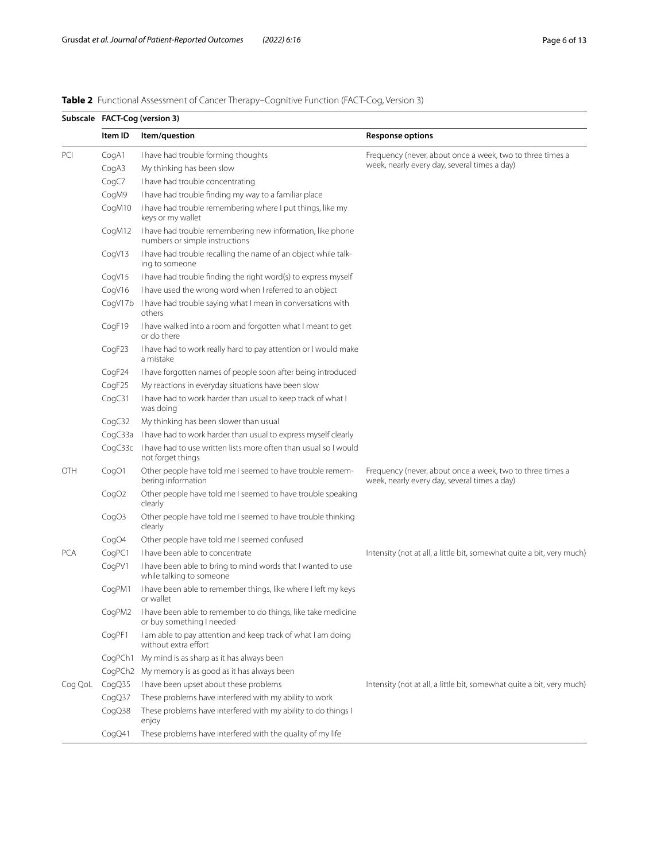<span id="page-5-0"></span>

| Table 2 Functional Assessment of Cancer Therapy-Cognitive Function (FACT-Cog, Version 3) |  |  |
|------------------------------------------------------------------------------------------|--|--|
|------------------------------------------------------------------------------------------|--|--|

|            | Subscale FACT-Cog (version 3) |                                                                                               |                                                                                                           |  |  |  |  |
|------------|-------------------------------|-----------------------------------------------------------------------------------------------|-----------------------------------------------------------------------------------------------------------|--|--|--|--|
|            | Item ID                       | Item/question                                                                                 | <b>Response options</b>                                                                                   |  |  |  |  |
| PCI        | CogA1                         | I have had trouble forming thoughts                                                           | Frequency (never, about once a week, two to three times a                                                 |  |  |  |  |
|            | CogA3                         | My thinking has been slow                                                                     | week, nearly every day, several times a day)                                                              |  |  |  |  |
|            | CogC7                         | I have had trouble concentrating                                                              |                                                                                                           |  |  |  |  |
|            | CogM9                         | I have had trouble finding my way to a familiar place                                         |                                                                                                           |  |  |  |  |
|            | CogM10                        | I have had trouble remembering where I put things, like my<br>keys or my wallet               |                                                                                                           |  |  |  |  |
|            | CogM12                        | I have had trouble remembering new information, like phone<br>numbers or simple instructions  |                                                                                                           |  |  |  |  |
|            | CogV13                        | I have had trouble recalling the name of an object while talk-<br>ing to someone              |                                                                                                           |  |  |  |  |
|            | CogV15                        | I have had trouble finding the right word(s) to express myself                                |                                                                                                           |  |  |  |  |
|            | CogV16                        | I have used the wrong word when I referred to an object                                       |                                                                                                           |  |  |  |  |
|            |                               | CogV17b I have had trouble saying what I mean in conversations with<br>others                 |                                                                                                           |  |  |  |  |
|            | CogF19                        | I have walked into a room and forgotten what I meant to get<br>or do there                    |                                                                                                           |  |  |  |  |
|            | CogF23                        | I have had to work really hard to pay attention or I would make<br>a mistake                  |                                                                                                           |  |  |  |  |
|            | CogF24                        | I have forgotten names of people soon after being introduced                                  |                                                                                                           |  |  |  |  |
|            | CogF25                        | My reactions in everyday situations have been slow                                            |                                                                                                           |  |  |  |  |
|            | CogC31                        | I have had to work harder than usual to keep track of what I<br>was doing                     |                                                                                                           |  |  |  |  |
|            | CogC32                        | My thinking has been slower than usual                                                        |                                                                                                           |  |  |  |  |
|            |                               | CogC33a I have had to work harder than usual to express myself clearly                        |                                                                                                           |  |  |  |  |
|            |                               | CogC33c I have had to use written lists more often than usual so I would<br>not forget things |                                                                                                           |  |  |  |  |
| OTH        | CogO1                         | Other people have told me I seemed to have trouble remem-<br>bering information               | Frequency (never, about once a week, two to three times a<br>week, nearly every day, several times a day) |  |  |  |  |
|            | CogO <sub>2</sub>             | Other people have told me I seemed to have trouble speaking<br>clearly                        |                                                                                                           |  |  |  |  |
|            | CogO <sub>3</sub>             | Other people have told me I seemed to have trouble thinking<br>clearly                        |                                                                                                           |  |  |  |  |
|            | CogO4                         | Other people have told me I seemed confused                                                   |                                                                                                           |  |  |  |  |
| <b>PCA</b> | CogPC1                        | I have been able to concentrate                                                               | Intensity (not at all, a little bit, somewhat quite a bit, very much)                                     |  |  |  |  |
|            | CogPV1                        | I have been able to bring to mind words that I wanted to use<br>while talking to someone      |                                                                                                           |  |  |  |  |
|            | CogPM1                        | I have been able to remember things, like where I left my keys<br>or wallet                   |                                                                                                           |  |  |  |  |
|            | CogPM2                        | I have been able to remember to do things, like take medicine<br>or buy something I needed    |                                                                                                           |  |  |  |  |
|            | CogPF1                        | I am able to pay attention and keep track of what I am doing<br>without extra effort          |                                                                                                           |  |  |  |  |
|            |                               | CogPCh1 My mind is as sharp as it has always been                                             |                                                                                                           |  |  |  |  |
|            |                               | CogPCh2 My memory is as good as it has always been                                            |                                                                                                           |  |  |  |  |
| Cog QoL    | CogQ35                        | I have been upset about these problems                                                        | Intensity (not at all, a little bit, somewhat quite a bit, very much)                                     |  |  |  |  |
|            | CogQ37                        | These problems have interfered with my ability to work                                        |                                                                                                           |  |  |  |  |
|            | CogQ38                        | These problems have interfered with my ability to do things I<br>enjoy                        |                                                                                                           |  |  |  |  |
|            | CogQ41                        | These problems have interfered with the quality of my life                                    |                                                                                                           |  |  |  |  |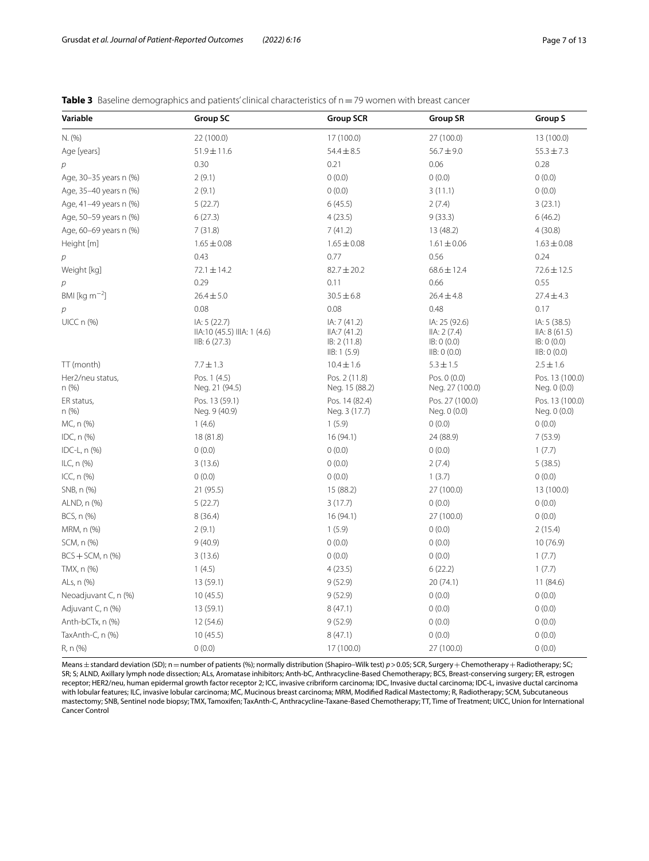<span id="page-6-0"></span>

| <b>Table 3</b> Baseline demographics and patients' clinical characteristics of n = 79 women with breast cancer |  |
|----------------------------------------------------------------------------------------------------------------|--|
|----------------------------------------------------------------------------------------------------------------|--|

| Variable                   | <b>Group SC</b>                                             | <b>Group SCR</b>                                           | <b>Group SR</b>                                             | Group S                                                     |
|----------------------------|-------------------------------------------------------------|------------------------------------------------------------|-------------------------------------------------------------|-------------------------------------------------------------|
| N. (%)                     | 22 (100.0)                                                  | 17 (100.0)                                                 | 27 (100.0)                                                  | 13 (100.0)                                                  |
| Age [years]                | $51.9 \pm 11.6$                                             | $54.4 \pm 8.5$                                             | $56.7 \pm 9.0$                                              | $55.3 \pm 7.3$                                              |
| р                          | 0.30                                                        | 0.21                                                       | 0.06                                                        | 0.28                                                        |
| Age, 30-35 years n (%)     | 2(9.1)                                                      | 0(0.0)                                                     | 0(0.0)                                                      | 0(0.0)                                                      |
| Age, 35-40 years n (%)     | 2(9.1)                                                      | 0(0.0)                                                     | 3(11.1)                                                     | 0(0.0)                                                      |
| Age, 41-49 years n (%)     | 5(22.7)                                                     | 6(45.5)                                                    | 2(7.4)                                                      | 3(23.1)                                                     |
| Age, 50-59 years n (%)     | 6(27.3)                                                     | 4(23.5)                                                    | 9(33.3)                                                     | 6(46.2)                                                     |
| Age, 60-69 years n (%)     | 7(31.8)                                                     | 7(41.2)                                                    | 13 (48.2)                                                   | 4(30.8)                                                     |
| Height [m]                 | $1.65 \pm 0.08$                                             | $1.65 \pm 0.08$                                            | $1.61 \pm 0.06$                                             | $1.63 \pm 0.08$                                             |
| р                          | 0.43                                                        | 0.77                                                       | 0.56                                                        | 0.24                                                        |
| Weight [kg]                | $72.1 \pm 14.2$                                             | $82.7 \pm 20.2$                                            | $68.6 \pm 12.4$                                             | $72.6 \pm 12.5$                                             |
| $\overline{p}$             | 0.29                                                        | 0.11                                                       | 0.66                                                        | 0.55                                                        |
| BMI [ $\text{kg m}^{-2}$ ] | $26.4 \pm 5.0$                                              | $30.5 \pm 6.8$                                             | $26.4 \pm 4.8$                                              | $27.4 \pm 4.3$                                              |
| р                          | 0.08                                                        | 0.08                                                       | 0.48                                                        | 0.17                                                        |
| $UICC n (\%)$              | IA: 5 (22.7)<br>IIA:10 (45.5) IIIA: 1 (4.6)<br>IIB: 6(27.3) | IA: 7 (41.2)<br>IIA:7(41.2)<br>IB: 2(11.8)<br>IIB: 1 (5.9) | IA: 25 (92.6)<br>IIA: 2(7.4)<br>IB: 0 (0.0)<br>IIB: 0 (0.0) | IA: 5 (38.5)<br>IIA: 8(61.5)<br>IB: 0 (0.0)<br>IIB: 0 (0.0) |
| TT (month)                 | $7.7 \pm 1.3$                                               | $10.4 \pm 1.6$                                             | $5.3 \pm 1.5$                                               | $2.5 \pm 1.6$                                               |
| Her2/neu status,<br>n(%)   | Pos. 1 (4.5)<br>Neg. 21 (94.5)                              | Pos. 2 (11.8)<br>Neg. 15 (88.2)                            | Pos. 0 (0.0)<br>Neg. 27 (100.0)                             | Pos. 13 (100.0)<br>Neg. 0 (0.0)                             |
| ER status,<br>n(%)         | Pos. 13 (59.1)<br>Neg. 9 (40.9)                             | Pos. 14 (82.4)<br>Neg. 3 (17.7)                            | Pos. 27 (100.0)<br>Neg. 0 (0.0)                             | Pos. 13 (100.0)<br>Neg. 0 (0.0)                             |
| MC, n (%)                  | 1(4.6)                                                      | 1(5.9)                                                     | 0(0.0)                                                      | 0(0.0)                                                      |
| IDC, $n$ $(\%)$            | 18 (81.8)                                                   | 16 (94.1)                                                  | 24 (88.9)                                                   | 7(53.9)                                                     |
| IDC-L, $n$ $(\%)$          | 0(0.0)                                                      | 0(0.0)                                                     | 0(0.0)                                                      | 1(7.7)                                                      |
| ILC, n (%)                 | 3(13.6)                                                     | 0(0.0)                                                     | 2(7.4)                                                      | 5(38.5)                                                     |
| ICC, $n$ $(\%)$            | 0(0.0)                                                      | 0(0.0)                                                     | 1(3.7)                                                      | 0(0.0)                                                      |
| SNB, n (%)                 | 21 (95.5)                                                   | 15 (88.2)                                                  | 27 (100.0)                                                  | 13 (100.0)                                                  |
| ALND, n (%)                | 5(22.7)                                                     | 3(17.7)                                                    | 0(0.0)                                                      | 0(0.0)                                                      |
| BCS, n (%)                 | 8(36.4)                                                     | 16(94.1)                                                   | 27 (100.0)                                                  | 0(0.0)                                                      |
| MRM, n (%)                 | 2(9.1)                                                      | 1(5.9)                                                     | 0(0.0)                                                      | 2(15.4)                                                     |
| SCM, n (%)                 | 9(40.9)                                                     | 0(0.0)                                                     | 0(0.0)                                                      | 10(76.9)                                                    |
| $BCS + SCM, n$ (%)         | 3(13.6)                                                     | 0(0.0)                                                     | 0(0.0)                                                      | 1(7.7)                                                      |
| TMX, n (%)                 | 1(4.5)                                                      | 4(23.5)                                                    | 6(22.2)                                                     | 1(7.7)                                                      |
| ALs, n (%)                 | 13 (59.1)                                                   | 9(52.9)                                                    | 20 (74.1)                                                   | 11 (84.6)                                                   |
| Neoadjuvant C, n (%)       | 10(45.5)                                                    | 9(52.9)                                                    | 0(0.0)                                                      | 0(0.0)                                                      |
| Adjuvant C, n (%)          | 13 (59.1)                                                   | 8(47.1)                                                    | 0(0.0)                                                      | 0(0.0)                                                      |
| Anth-bCTx, n (%)           | 12 (54.6)                                                   | 9(52.9)                                                    | 0(0.0)                                                      | 0(0.0)                                                      |
| TaxAnth-C, n (%)           | 10(45.5)                                                    | 8(47.1)                                                    | 0(0.0)                                                      | 0(0.0)                                                      |
| R, n (%)                   | 0(0.0)                                                      | 17 (100.0)                                                 | 27 (100.0)                                                  | 0(0.0)                                                      |

Means ± standard deviation (SD); n = number of patients (%); normally distribution (Shapiro–Wilk test)  $p$  > 0.05; SCR, Surgery + Chemotherapy + Radiotherapy; SC; SR; S; ALND, Axillary lymph node dissection; ALs, Aromatase inhibitors; Anth-bC, Anthracycline-Based Chemotherapy; BCS, Breast-conserving surgery; ER, estrogen receptor; HER2/neu, human epidermal growth factor receptor 2; ICC, invasive cribriform carcinoma; IDC, Invasive ductal carcinoma; IDC-L, invasive ductal carcinoma with lobular features; ILC, invasive lobular carcinoma; MC, Mucinous breast carcinoma; MRM, Modifed Radical Mastectomy; R, Radiotherapy; SCM, Subcutaneous mastectomy; SNB, Sentinel node biopsy; TMX, Tamoxifen; TaxAnth-C, Anthracycline-Taxane-Based Chemotherapy; TT, Time of Treatment; UICC, Union for International Cancer Control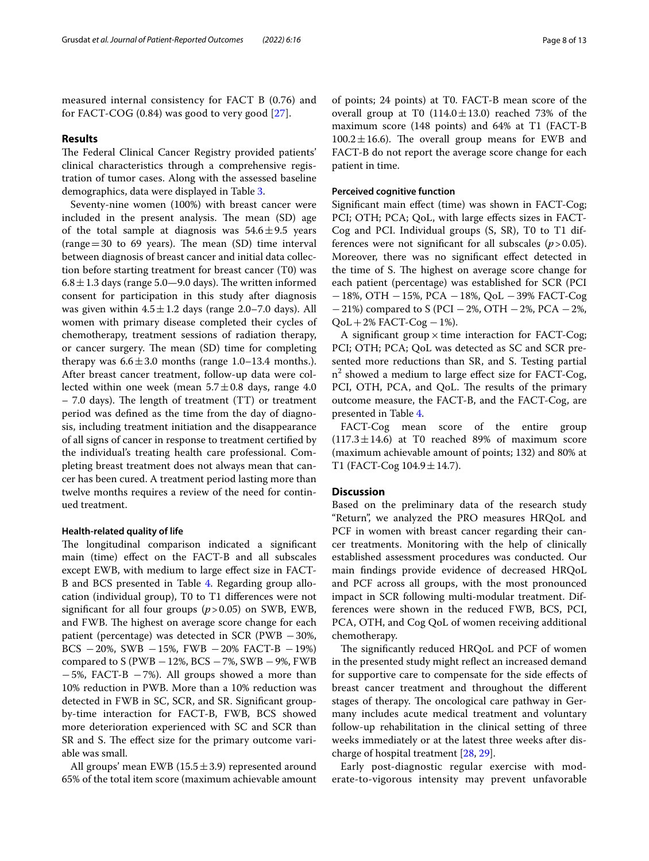measured internal consistency for FACT B (0.76) and for FACT-COG (0.84) was good to very good [[27\]](#page-12-1).

# **Results**

The Federal Clinical Cancer Registry provided patients' clinical characteristics through a comprehensive registration of tumor cases. Along with the assessed baseline demographics, data were displayed in Table [3](#page-6-0).

Seventy-nine women (100%) with breast cancer were included in the present analysis. The mean (SD) age of the total sample at diagnosis was  $54.6 \pm 9.5$  years  $(range=30$  to 69 years). The mean  $(SD)$  time interval between diagnosis of breast cancer and initial data collection before starting treatment for breast cancer (T0) was  $6.8 \pm 1.3$  days (range 5.0–9.0 days). The written informed consent for participation in this study after diagnosis was given within  $4.5 \pm 1.2$  days (range 2.0–7.0 days). All women with primary disease completed their cycles of chemotherapy, treatment sessions of radiation therapy, or cancer surgery. The mean (SD) time for completing therapy was  $6.6 \pm 3.0$  months (range 1.0–13.4 months.). After breast cancer treatment, follow-up data were collected within one week (mean  $5.7 \pm 0.8$  days, range 4.0  $-7.0$  days). The length of treatment (TT) or treatment period was defned as the time from the day of diagnosis, including treatment initiation and the disappearance of all signs of cancer in response to treatment certifed by the individual's treating health care professional. Completing breast treatment does not always mean that cancer has been cured. A treatment period lasting more than twelve months requires a review of the need for continued treatment.

## **Health-related quality of life**

The longitudinal comparison indicated a significant main (time) efect on the FACT-B and all subscales except EWB, with medium to large efect size in FACT-B and BCS presented in Table [4](#page-8-0). Regarding group allocation (individual group), T0 to T1 diferences were not significant for all four groups  $(p > 0.05)$  on SWB, EWB, and FWB. The highest on average score change for each patient (percentage) was detected in SCR ( $PWB - 30\%$ , BCS −20%, SWB −15%, FWB −20% FACT-B −19%) compared to S ( $PWB - 12\%$ , BCS  $-7\%$ , SWB  $-9\%$ , FWB −5%, FACT-B −7%). All groups showed a more than 10% reduction in PWB. More than a 10% reduction was detected in FWB in SC, SCR, and SR. Signifcant groupby-time interaction for FACT-B, FWB, BCS showed more deterioration experienced with SC and SCR than SR and S. The effect size for the primary outcome variable was small.

All groups' mean EWB ( $15.5 \pm 3.9$ ) represented around 65% of the total item score (maximum achievable amount of points; 24 points) at T0. FACT-B mean score of the overall group at T0  $(114.0 \pm 13.0)$  reached 73% of the maximum score (148 points) and 64% at T1 (FACT-B  $100.2 \pm 16.6$ ). The overall group means for EWB and FACT-B do not report the average score change for each patient in time.

# **Perceived cognitive function**

Signifcant main efect (time) was shown in FACT-Cog; PCI; OTH; PCA; QoL, with large effects sizes in FACT-Cog and PCI. Individual groups (S, SR), T0 to T1 differences were not signifcant for all subscales (*p*>0.05). Moreover, there was no signifcant efect detected in the time of S. The highest on average score change for each patient (percentage) was established for SCR (PCI −18%, OTH −15%, PCA −18%, QoL −39% FACT-Cog  $-21\%$ ) compared to S (PCI  $-2\%$ , OTH  $-2\%$ , PCA  $-2\%$ ,  $QoL+2\%$  FACT-Cog  $-1\%$ ).

A significant group  $\times$  time interaction for FACT-Cog; PCI; OTH; PCA; QoL was detected as SC and SCR presented more reductions than SR, and S. Testing partial n2 showed a medium to large efect size for FACT-Cog, PCI, OTH, PCA, and QoL. The results of the primary outcome measure, the FACT-B, and the FACT-Cog, are presented in Table [4](#page-8-0).

FACT-Cog mean score of the entire group  $(117.3 \pm 14.6)$  at T0 reached 89% of maximum score (maximum achievable amount of points; 132) and 80% at T1 (FACT-Cog  $104.9 \pm 14.7$ ).

# **Discussion**

Based on the preliminary data of the research study "Return", we analyzed the PRO measures HRQoL and PCF in women with breast cancer regarding their cancer treatments. Monitoring with the help of clinically established assessment procedures was conducted. Our main fndings provide evidence of decreased HRQoL and PCF across all groups, with the most pronounced impact in SCR following multi-modular treatment. Differences were shown in the reduced FWB, BCS, PCI, PCA, OTH, and Cog QoL of women receiving additional chemotherapy.

The significantly reduced HRQoL and PCF of women in the presented study might refect an increased demand for supportive care to compensate for the side efects of breast cancer treatment and throughout the diferent stages of therapy. The oncological care pathway in Germany includes acute medical treatment and voluntary follow-up rehabilitation in the clinical setting of three weeks immediately or at the latest three weeks after discharge of hospital treatment [\[28](#page-12-2), [29\]](#page-12-3).

Early post-diagnostic regular exercise with moderate-to-vigorous intensity may prevent unfavorable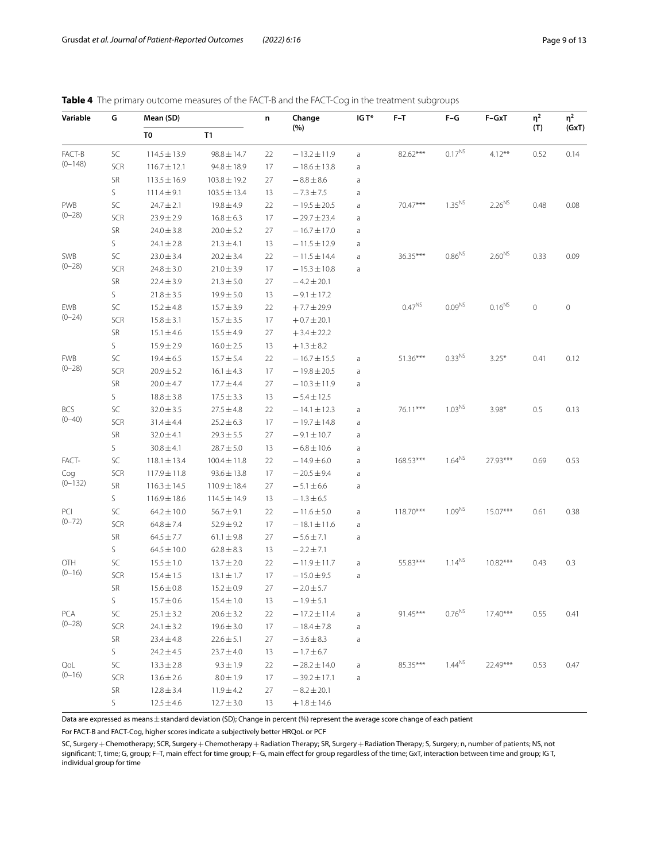<span id="page-8-0"></span>

|  |  |  |  | <b>Table 4</b> The primary outcome measures of the FACT-B and the FACT-Cog in the treatment subgroups |  |
|--|--|--|--|-------------------------------------------------------------------------------------------------------|--|
|--|--|--|--|-------------------------------------------------------------------------------------------------------|--|

| Variable   | G             | Mean (SD)        |                  | n  | Change           | IG T*       | F-T                | $F-G$              | F-GxT       | $\eta^2$    | $\eta^2$ |
|------------|---------------|------------------|------------------|----|------------------|-------------|--------------------|--------------------|-------------|-------------|----------|
|            |               | T0               | T1               |    | (%)              |             |                    |                    |             | (T)         | (GxT)    |
| FACT-B     | SC            | $114.5 \pm 13.9$ | $98.8 \pm 14.7$  | 22 | $-13.2 \pm 11.9$ | a           | 82.62***           | $0.17^{NS}$        | $4.12***$   | 0.52        | 0.14     |
| $(0-148)$  | SCR           | $116.7 \pm 12.1$ | $94.8 \pm 18.9$  | 17 | $-18.6 \pm 13.8$ | a           |                    |                    |             |             |          |
|            | SR            | $113.5 \pm 16.9$ | $103.8 \pm 19.2$ | 27 | $-8.8 \pm 8.6$   | a           |                    |                    |             |             |          |
|            | S             | $111.4 \pm 9.1$  | $103.5 \pm 13.4$ | 13 | $-7.3 \pm 7.5$   | a           |                    |                    |             |             |          |
| <b>PWB</b> | SC            | $24.7 \pm 2.1$   | $19.8 \pm 4.9$   | 22 | $-19.5 \pm 20.5$ | a           | 70.47***           | $1.35^{NS}$        | $2.26^{NS}$ | 0.48        | 0.08     |
| $(0 - 28)$ | SCR           | $23.9 \pm 2.9$   | $16.8 \pm 6.3$   | 17 | $-29.7 \pm 23.4$ | a           |                    |                    |             |             |          |
|            | SR            | $24.0 \pm 3.8$   | $20.0 \pm 5.2$   | 27 | $-16.7 \pm 17.0$ | a           |                    |                    |             |             |          |
|            | S             | $24.1 \pm 2.8$   | $21.3 \pm 4.1$   | 13 | $-11.5 \pm 12.9$ | a           |                    |                    |             |             |          |
| SWB        | SC            | $23.0 \pm 3.4$   | $20.2 \pm 3.4$   | 22 | $-11.5 \pm 14.4$ | a           | $36.35***$         | $0.86^{N5}$        | $2.60^{NS}$ | 0.33        | 0.09     |
| $(0 - 28)$ | SCR           | $24.8 \pm 3.0$   | $21.0 \pm 3.9$   | 17 | $-15.3 \pm 10.8$ | a           |                    |                    |             |             |          |
|            | ${\sf SR}$    | $22.4 \pm 3.9$   | $21.3 \pm 5.0$   | 27 | $-4.2 \pm 20.1$  |             |                    |                    |             |             |          |
|            | S             | $21.8 \pm 3.5$   | $19.9 \pm 5.0$   | 13 | $-9.1 \pm 17.2$  |             |                    |                    |             |             |          |
| EWB        | SC            | $15.2 \pm 4.8$   | $15.7 \pm 3.9$   | 22 | $+7.7 \pm 29.9$  |             | 0.47 <sup>NS</sup> | $0.09^{NS}$        | $0.16^{NS}$ | $\mathbb O$ | 0        |
| $(0 - 24)$ | SCR           | $15.8 \pm 3.1$   | $15.7 \pm 3.5$   | 17 | $+0.7 \pm 20.1$  |             |                    |                    |             |             |          |
|            | ${\sf SR}$    | $15.1 \pm 4.6$   | $15.5 \pm 4.9$   | 27 | $+3.4 \pm 22.2$  |             |                    |                    |             |             |          |
|            | S             | $15.9 \pm 2.9$   | $16.0 \pm 2.5$   | 13 | $+1.3 \pm 8.2$   |             |                    |                    |             |             |          |
| <b>FWB</b> | SC            | $19.4 \pm 6.5$   | $15.7 \pm 5.4$   | 22 | $-16.7 \pm 15.5$ | a           | 51.36***           | 0.33 <sup>NS</sup> | $3.25*$     | 0.41        | 0.12     |
| $(0 - 28)$ | SCR           | $20.9 \pm 5.2$   | $16.1 \pm 4.3$   | 17 | $-19.8 \pm 20.5$ | a           |                    |                    |             |             |          |
|            | SR            | $20.0 \pm 4.7$   | 17.7 ± 4.4       | 27 | $-10.3 \pm 11.9$ | a           |                    |                    |             |             |          |
|            | S             | $18.8 \pm 3.8$   | $17.5 \pm 3.3$   | 13 | $-5.4 \pm 12.5$  |             |                    |                    |             |             |          |
| <b>BCS</b> | SC            | $32.0 \pm 3.5$   | $27.5 \pm 4.8$   | 22 | $-14.1 \pm 12.3$ | a           | 76.11***           | $1.03^{NS}$        | $3.98*$     | 0.5         | 0.13     |
| $(0 - 40)$ | SCR           | $31.4 \pm 4.4$   | $25.2 \pm 6.3$   | 17 | $-19.7 \pm 14.8$ | a           |                    |                    |             |             |          |
|            | SR            | $32.0 \pm 4.1$   | $29.3 \pm 5.5$   | 27 | $-9.1 \pm 10.7$  | a           |                    |                    |             |             |          |
|            | S             | $30.8 \pm 4.1$   | $28.7 \pm 5.0$   | 13 | $-6.8 \pm 10.6$  | a           |                    |                    |             |             |          |
| FACT-      | SC            | $118.1 \pm 13.4$ | $100.4 \pm 11.8$ | 22 | $-14.9 \pm 6.0$  | a           | 168.53***          | $1.64^{NS}$        | 27.93***    | 0.69        | 0.53     |
| Cog        | SCR           | $117.9 \pm 11.8$ | $93.6 \pm 13.8$  | 17 | $-20.5 \pm 9.4$  | a           |                    |                    |             |             |          |
| $(0-132)$  | SR            | $116.3 \pm 14.5$ | 110.9±18.4       | 27 | $-5.1 \pm 6.6$   | a           |                    |                    |             |             |          |
|            | S             | $116.9 \pm 18.6$ | $114.5 \pm 14.9$ | 13 | $-1.3 \pm 6.5$   |             |                    |                    |             |             |          |
| PCI        | SC            | $64.2 \pm 10.0$  | $56.7 \pm 9.1$   | 22 | $-11.6 \pm 5.0$  | a           | 118.70***          | 1.09 <sup>NS</sup> | $15.07***$  | 0.61        | 0.38     |
| $(0 - 72)$ | SCR           | $64.8 \pm 7.4$   | $52.9 \pm 9.2$   | 17 | $-18.1 \pm 11.6$ | a           |                    |                    |             |             |          |
|            | ${\sf SR}$    | $64.5 \pm 7.7$   | $61.1 \pm 9.8$   | 27 | $-5.6 \pm 7.1$   | a           |                    |                    |             |             |          |
|            | S             | $64.5 \pm 10.0$  | $62.8 \pm 8.3$   | 13 | $-2.2 \pm 7.1$   |             |                    |                    |             |             |          |
| OTH        | SC            | $15.5 \pm 1.0$   | $13.7 \pm 2.0$   | 22 | $-11.9 \pm 11.7$ | a           | 55.83***           | $1.14^{NS}$        | $10.82***$  | 0.43        | 0.3      |
| $(0-16)$   | SCR           | $15.4 \pm 1.5$   | $13.1 \pm 1.7$   | 17 | $-15.0 \pm 9.5$  | a           |                    |                    |             |             |          |
|            | SR            | $15.6 \pm 0.8$   | $15.2 \pm 0.9$   | 27 | $-2.0 \pm 5.7$   |             |                    |                    |             |             |          |
|            | S.            | $15.7 \pm 0.6$   | $15.4 \pm 1.0$   | 13 | $-1.9 \pm 5.1$   |             |                    |                    |             |             |          |
| <b>PCA</b> | $\mathsf{SC}$ | $25.1 \pm 3.2$   | $20.6 \pm 3.2$   | 22 | $-17.2 \pm 11.4$ | a           | 91.45***           | $0.76^{NS}$        | $17.40***$  | 0.55        | 0.41     |
| $(0 - 28)$ | <b>SCR</b>    | $24.1 \pm 3.2$   | $19.6 \pm 3.0$   | 17 | $-18.4 \pm 7.8$  | a           |                    |                    |             |             |          |
|            | ${\sf SR}$    | $23.4 \pm 4.8$   | $22.6 \pm 5.1$   | 27 | $-3.6 \pm 8.3$   | a           |                    |                    |             |             |          |
|            | $\mathsf S$   | $24.2 \pm 4.5$   | $23.7 \pm 4.0$   | 13 | $-1.7 \pm 6.7$   |             |                    |                    |             |             |          |
| QoL        | $\mathsf{SC}$ | $13.3 \pm 2.8$   | $9.3 \pm 1.9$    | 22 | $-28.2 \pm 14.0$ | $\mathsf a$ | 85.35***           | $1.44^{NS}$        | 22.49***    | 0.53        | 0.47     |
| $(0 - 16)$ | SCR           | $13.6 \pm 2.6$   | $8.0 \pm 1.9$    | 17 | $-39.2 \pm 17.1$ | a           |                    |                    |             |             |          |
|            | ${\sf SR}$    | $12.8 \pm 3.4$   | $11.9 \pm 4.2$   | 27 | $-8.2 \pm 20.1$  |             |                    |                    |             |             |          |
|            | S.            | $12.5 \pm 4.6$   | $12.7 \pm 3.0$   | 13 | $+1.8 \pm 14.6$  |             |                    |                    |             |             |          |

Data are expressed as means ± standard deviation (SD); Change in percent (%) represent the average score change of each patient

For FACT-B and FACT-Cog, higher scores indicate a subjectively better HRQoL or PCF

SC, Surgery +Chemotherapy; SCR, Surgery + Chemotherapy + Radiation Therapy; SR, Surgery + Radiation Therapy; S, Surgery; n, number of patients; NS, not<br>significant; T, time; G, group; F–T, main effect for time group; F–G, individual group for time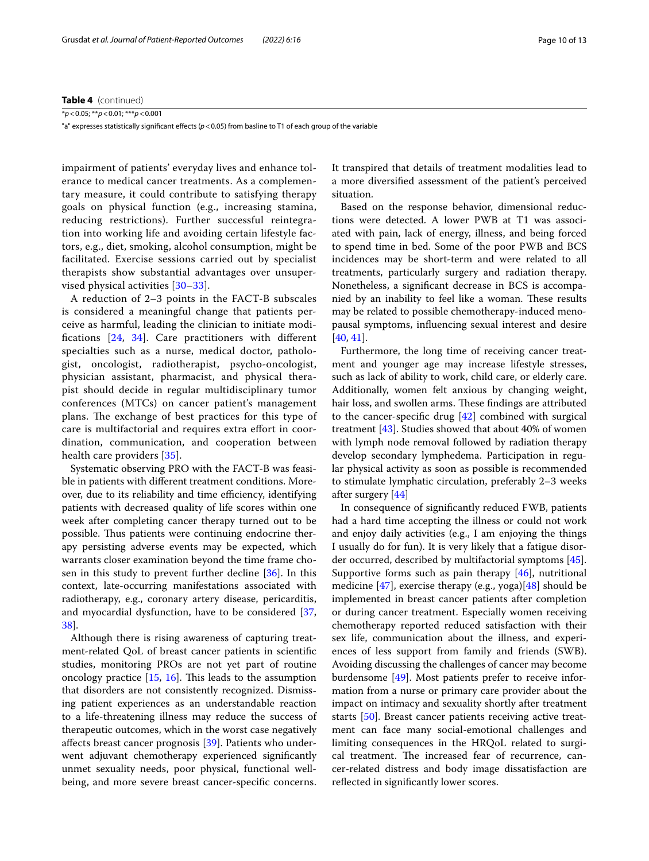**Table 4** (continued)

\**p*<0.05; \*\**p*<0.01; \*\*\**p*<0.001

"a" expresses statistically significant effects ( $p$  < 0.05) from basline to T1 of each group of the variable

impairment of patients' everyday lives and enhance tolerance to medical cancer treatments. As a complementary measure, it could contribute to satisfying therapy goals on physical function (e.g., increasing stamina, reducing restrictions). Further successful reintegration into working life and avoiding certain lifestyle factors, e.g., diet, smoking, alcohol consumption, might be facilitated. Exercise sessions carried out by specialist therapists show substantial advantages over unsupervised physical activities [[30](#page-12-4)–[33](#page-12-5)].

A reduction of 2–3 points in the FACT-B subscales is considered a meaningful change that patients perceive as harmful, leading the clinician to initiate modifcations [[24](#page-11-20), [34\]](#page-12-6). Care practitioners with diferent specialties such as a nurse, medical doctor, pathologist, oncologist, radiotherapist, psycho-oncologist, physician assistant, pharmacist, and physical therapist should decide in regular multidisciplinary tumor conferences (MTCs) on cancer patient's management plans. The exchange of best practices for this type of care is multifactorial and requires extra effort in coordination, communication, and cooperation between health care providers [\[35](#page-12-7)].

Systematic observing PRO with the FACT-B was feasible in patients with diferent treatment conditions. Moreover, due to its reliability and time efficiency, identifying patients with decreased quality of life scores within one week after completing cancer therapy turned out to be possible. Thus patients were continuing endocrine therapy persisting adverse events may be expected, which warrants closer examination beyond the time frame chosen in this study to prevent further decline [[36](#page-12-8)]. In this context, late-occurring manifestations associated with radiotherapy, e.g., coronary artery disease, pericarditis, and myocardial dysfunction, have to be considered [\[37](#page-12-9), [38\]](#page-12-10).

Although there is rising awareness of capturing treatment-related QoL of breast cancer patients in scientifc studies, monitoring PROs are not yet part of routine oncology practice  $[15, 16]$  $[15, 16]$  $[15, 16]$ . This leads to the assumption that disorders are not consistently recognized. Dismissing patient experiences as an understandable reaction to a life-threatening illness may reduce the success of therapeutic outcomes, which in the worst case negatively afects breast cancer prognosis [\[39](#page-12-11)]. Patients who underwent adjuvant chemotherapy experienced signifcantly unmet sexuality needs, poor physical, functional wellbeing, and more severe breast cancer-specifc concerns. It transpired that details of treatment modalities lead to a more diversifed assessment of the patient's perceived situation.

Based on the response behavior, dimensional reductions were detected. A lower PWB at T1 was associated with pain, lack of energy, illness, and being forced to spend time in bed. Some of the poor PWB and BCS incidences may be short-term and were related to all treatments, particularly surgery and radiation therapy. Nonetheless, a signifcant decrease in BCS is accompanied by an inability to feel like a woman. These results may be related to possible chemotherapy-induced menopausal symptoms, infuencing sexual interest and desire [[40,](#page-12-12) [41](#page-12-13)].

Furthermore, the long time of receiving cancer treatment and younger age may increase lifestyle stresses, such as lack of ability to work, child care, or elderly care. Additionally, women felt anxious by changing weight, hair loss, and swollen arms. These findings are attributed to the cancer-specifc drug [[42\]](#page-12-14) combined with surgical treatment  $[43]$  $[43]$ . Studies showed that about 40% of women with lymph node removal followed by radiation therapy develop secondary lymphedema. Participation in regular physical activity as soon as possible is recommended to stimulate lymphatic circulation, preferably 2–3 weeks after surgery [[44\]](#page-12-16)

In consequence of signifcantly reduced FWB, patients had a hard time accepting the illness or could not work and enjoy daily activities (e.g., I am enjoying the things I usually do for fun). It is very likely that a fatigue disorder occurred, described by multifactorial symptoms [\[45](#page-12-17)]. Supportive forms such as pain therapy  $[46]$  $[46]$  $[46]$ , nutritional medicine [\[47](#page-12-19)], exercise therapy (e.g., yoga)[[48\]](#page-12-20) should be implemented in breast cancer patients after completion or during cancer treatment. Especially women receiving chemotherapy reported reduced satisfaction with their sex life, communication about the illness, and experiences of less support from family and friends (SWB). Avoiding discussing the challenges of cancer may become burdensome [[49](#page-12-21)]. Most patients prefer to receive information from a nurse or primary care provider about the impact on intimacy and sexuality shortly after treatment starts [[50\]](#page-12-22). Breast cancer patients receiving active treatment can face many social-emotional challenges and limiting consequences in the HRQoL related to surgical treatment. The increased fear of recurrence, cancer-related distress and body image dissatisfaction are refected in signifcantly lower scores.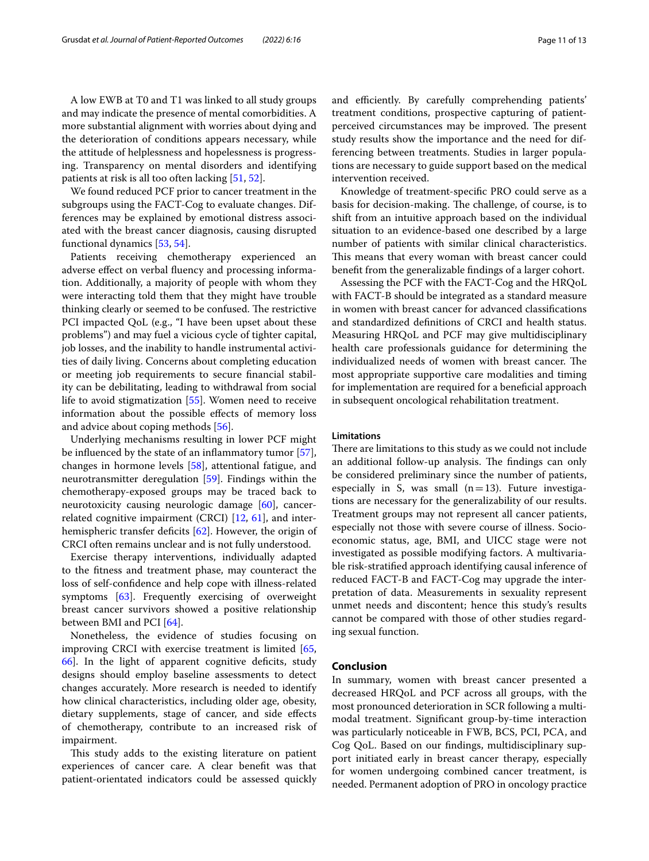the attitude of helplessness and hopelessness is progressing. Transparency on mental disorders and identifying patients at risk is all too often lacking [[51,](#page-12-23) [52](#page-12-24)]. We found reduced PCF prior to cancer treatment in the

subgroups using the FACT-Cog to evaluate changes. Differences may be explained by emotional distress associated with the breast cancer diagnosis, causing disrupted functional dynamics [\[53](#page-12-25), [54\]](#page-12-26).

Patients receiving chemotherapy experienced an adverse efect on verbal fuency and processing information. Additionally, a majority of people with whom they were interacting told them that they might have trouble thinking clearly or seemed to be confused. The restrictive PCI impacted QoL (e.g., "I have been upset about these problems") and may fuel a vicious cycle of tighter capital, job losses, and the inability to handle instrumental activities of daily living. Concerns about completing education or meeting job requirements to secure fnancial stability can be debilitating, leading to withdrawal from social life to avoid stigmatization [\[55](#page-12-27)]. Women need to receive information about the possible efects of memory loss and advice about coping methods [\[56\]](#page-12-28).

Underlying mechanisms resulting in lower PCF might be infuenced by the state of an infammatory tumor [\[57](#page-12-29)], changes in hormone levels [\[58](#page-12-30)], attentional fatigue, and neurotransmitter deregulation [\[59](#page-12-31)]. Findings within the chemotherapy-exposed groups may be traced back to neurotoxicity causing neurologic damage [\[60\]](#page-12-32), cancerrelated cognitive impairment (CRCI) [[12,](#page-11-10) [61\]](#page-12-33), and inter-hemispheric transfer deficits [\[62\]](#page-12-34). However, the origin of CRCI often remains unclear and is not fully understood.

Exercise therapy interventions, individually adapted to the ftness and treatment phase, may counteract the loss of self-confdence and help cope with illness-related symptoms [\[63\]](#page-12-35). Frequently exercising of overweight breast cancer survivors showed a positive relationship between BMI and PCI [\[64\]](#page-12-36).

Nonetheless, the evidence of studies focusing on improving CRCI with exercise treatment is limited [\[65](#page-12-37), [66\]](#page-12-38). In the light of apparent cognitive defcits, study designs should employ baseline assessments to detect changes accurately. More research is needed to identify how clinical characteristics, including older age, obesity, dietary supplements, stage of cancer, and side efects of chemotherapy, contribute to an increased risk of impairment.

This study adds to the existing literature on patient experiences of cancer care. A clear beneft was that patient-orientated indicators could be assessed quickly and efficiently. By carefully comprehending patients' treatment conditions, prospective capturing of patientperceived circumstances may be improved. The present study results show the importance and the need for differencing between treatments. Studies in larger populations are necessary to guide support based on the medical intervention received.

Knowledge of treatment-specifc PRO could serve as a basis for decision-making. The challenge, of course, is to shift from an intuitive approach based on the individual situation to an evidence-based one described by a large number of patients with similar clinical characteristics. This means that every woman with breast cancer could beneft from the generalizable fndings of a larger cohort.

Assessing the PCF with the FACT-Cog and the HRQoL with FACT-B should be integrated as a standard measure in women with breast cancer for advanced classifcations and standardized defnitions of CRCI and health status. Measuring HRQoL and PCF may give multidisciplinary health care professionals guidance for determining the individualized needs of women with breast cancer. The most appropriate supportive care modalities and timing for implementation are required for a beneficial approach in subsequent oncological rehabilitation treatment.

# **Limitations**

There are limitations to this study as we could not include an additional follow-up analysis. The findings can only be considered preliminary since the number of patients, especially in S, was small  $(n=13)$ . Future investigations are necessary for the generalizability of our results. Treatment groups may not represent all cancer patients, especially not those with severe course of illness. Socioeconomic status, age, BMI, and UICC stage were not investigated as possible modifying factors. A multivariable risk-stratifed approach identifying causal inference of reduced FACT-B and FACT-Cog may upgrade the interpretation of data. Measurements in sexuality represent unmet needs and discontent; hence this study's results cannot be compared with those of other studies regarding sexual function.

# **Conclusion**

In summary, women with breast cancer presented a decreased HRQoL and PCF across all groups, with the most pronounced deterioration in SCR following a multimodal treatment. Signifcant group-by-time interaction was particularly noticeable in FWB, BCS, PCI, PCA, and Cog QoL. Based on our fndings, multidisciplinary support initiated early in breast cancer therapy, especially for women undergoing combined cancer treatment, is needed. Permanent adoption of PRO in oncology practice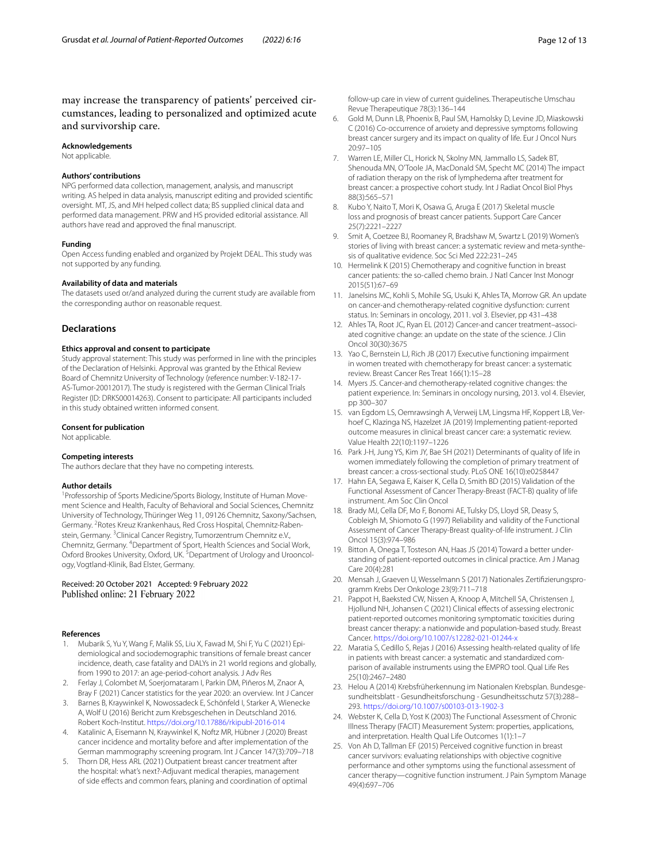may increase the transparency of patients' perceived circumstances, leading to personalized and optimized acute and survivorship care.

#### **Acknowledgements**

Not applicable.

#### **Authors' contributions**

NPG performed data collection, management, analysis, and manuscript writing. AS helped in data analysis, manuscript editing and provided scientifc oversight. MT, JS, and MH helped collect data; BS supplied clinical data and performed data management. PRW and HS provided editorial assistance. All authors have read and approved the fnal manuscript.

#### **Funding**

Open Access funding enabled and organized by Projekt DEAL. This study was not supported by any funding.

## **Availability of data and materials**

The datasets used or/and analyzed during the current study are available from the corresponding author on reasonable request.

#### **Declarations**

#### **Ethics approval and consent to participate**

Study approval statement: This study was performed in line with the principles of the Declaration of Helsinki. Approval was granted by the Ethical Review Board of Chemnitz University of Technology (reference number: V-182-17-AS-Tumor-20012017). The study is registered with the German Clinical Trials Register (ID: DRKS00014263). Consent to participate: All participants included in this study obtained written informed consent.

#### **Consent for publication**

Not applicable.

#### **Competing interests**

The authors declare that they have no competing interests.

#### **Author details**

<sup>1</sup> Professorship of Sports Medicine/Sports Biology, Institute of Human Movement Science and Health, Faculty of Behavioral and Social Sciences, Chemnitz University of Technology, Thüringer Weg 11, 09126 Chemnitz, Saxony/Sachsen, Germany. <sup>2</sup> Rotes Kreuz Krankenhaus, Red Cross Hospital, Chemnitz-Rabenstein, Germany. <sup>3</sup> Clinical Cancer Registry, Tumorzentrum Chemnitz e.V., Chemnitz, Germany. <sup>4</sup>Department of Sport, Health Sciences and Social Work, Oxford Brookes University, Oxford, UK.<sup>5</sup> Department of Urology and Urooncology, Vogtland-Klinik, Bad Elster, Germany.

#### Received: 20 October 2021 Accepted: 9 February 2022 Published online: 21 February 2022

## **References**

- <span id="page-11-0"></span>1. Mubarik S, Yu Y, Wang F, Malik SS, Liu X, Fawad M, Shi F, Yu C (2021) Epidemiological and sociodemographic transitions of female breast cancer incidence, death, case fatality and DALYs in 21 world regions and globally, from 1990 to 2017: an age-period-cohort analysis. J Adv Res
- <span id="page-11-1"></span>2. Ferlay J, Colombet M, Soerjomataram I, Parkin DM, Piñeros M, Znaor A, Bray F (2021) Cancer statistics for the year 2020: an overview. Int J Cancer
- <span id="page-11-2"></span>3. Barnes B, Kraywinkel K, Nowossadeck E, Schönfeld I, Starker A, Wienecke A, Wolf U (2016) Bericht zum Krebsgeschehen in Deutschland 2016. Robert Koch-Institut.<https://doi.org/10.17886/rkipubl-2016-014>
- <span id="page-11-3"></span>4. Katalinic A, Eisemann N, Kraywinkel K, Noftz MR, Hübner J (2020) Breast cancer incidence and mortality before and after implementation of the German mammography screening program. Int J Cancer 147(3):709–718
- <span id="page-11-4"></span>5. Thorn DR, Hess ARL (2021) Outpatient breast cancer treatment after the hospital: what's next?-Adjuvant medical therapies, management of side efects and common fears, planing and coordination of optimal

follow-up care in view of current guidelines. Therapeutische Umschau Revue Therapeutique 78(3):136–144

- <span id="page-11-5"></span>6. Gold M, Dunn LB, Phoenix B, Paul SM, Hamolsky D, Levine JD, Miaskowski C (2016) Co-occurrence of anxiety and depressive symptoms following breast cancer surgery and its impact on quality of life. Eur J Oncol Nurs 20:97–105
- <span id="page-11-6"></span>7. Warren LE, Miller CL, Horick N, Skolny MN, Jammallo LS, Sadek BT, Shenouda MN, O'Toole JA, MacDonald SM, Specht MC (2014) The impact of radiation therapy on the risk of lymphedema after treatment for breast cancer: a prospective cohort study. Int J Radiat Oncol Biol Phys 88(3):565–571
- <span id="page-11-7"></span>8. Kubo Y, Naito T, Mori K, Osawa G, Aruga E (2017) Skeletal muscle loss and prognosis of breast cancer patients. Support Care Cancer 25(7):2221–2227
- <span id="page-11-8"></span>9. Smit A, Coetzee BJ, Roomaney R, Bradshaw M, Swartz L (2019) Women's stories of living with breast cancer: a systematic review and meta-synthesis of qualitative evidence. Soc Sci Med 222:231–245
- <span id="page-11-9"></span>10. Hermelink K (2015) Chemotherapy and cognitive function in breast cancer patients: the so-called chemo brain. J Natl Cancer Inst Monogr 2015(51):67–69
- 11. Janelsins MC, Kohli S, Mohile SG, Usuki K, Ahles TA, Morrow GR. An update on cancer-and chemotherapy-related cognitive dysfunction: current status. In: Seminars in oncology, 2011. vol 3. Elsevier, pp 431–438
- <span id="page-11-10"></span>12. Ahles TA, Root JC, Ryan EL (2012) Cancer-and cancer treatment–associated cognitive change: an update on the state of the science. J Clin Oncol 30(30):3675
- <span id="page-11-11"></span>13. Yao C, Bernstein LJ, Rich JB (2017) Executive functioning impairment in women treated with chemotherapy for breast cancer: a systematic review. Breast Cancer Res Treat 166(1):15–28
- <span id="page-11-12"></span>14. Myers JS. Cancer-and chemotherapy-related cognitive changes: the patient experience. In: Seminars in oncology nursing, 2013. vol 4. Elsevier, pp 300–307
- <span id="page-11-13"></span>15. van Egdom LS, Oemrawsingh A, Verweij LM, Lingsma HF, Koppert LB, Verhoef C, Klazinga NS, Hazelzet JA (2019) Implementing patient-reported outcome measures in clinical breast cancer care: a systematic review. Value Health 22(10):1197–1226
- <span id="page-11-14"></span>16. Park J-H, Jung YS, Kim JY, Bae SH (2021) Determinants of quality of life in women immediately following the completion of primary treatment of breast cancer: a cross-sectional study. PLoS ONE 16(10):e0258447
- <span id="page-11-15"></span>17. Hahn EA, Segawa E, Kaiser K, Cella D, Smith BD (2015) Validation of the Functional Assessment of Cancer Therapy-Breast (FACT-B) quality of life instrument. Am Soc Clin Oncol
- <span id="page-11-21"></span>18. Brady MJ, Cella DF, Mo F, Bonomi AE, Tulsky DS, Lloyd SR, Deasy S, Cobleigh M, Shiomoto G (1997) Reliability and validity of the Functional Assessment of Cancer Therapy-Breast quality-of-life instrument. J Clin Oncol 15(3):974–986
- <span id="page-11-16"></span>19. Bitton A, Onega T, Tosteson AN, Haas JS (2014) Toward a better understanding of patient-reported outcomes in clinical practice. Am J Manag Care 20(4):281
- <span id="page-11-17"></span>20. Mensah J, Graeven U, Wesselmann S (2017) Nationales Zertifizierungsprogramm Krebs Der Onkologe 23(9):711–718
- 21. Pappot H, Baeksted CW, Nissen A, Knoop A, Mitchell SA, Christensen J, Hjollund NH, Johansen C (2021) Clinical efects of assessing electronic patient-reported outcomes monitoring symptomatic toxicities during breast cancer therapy: a nationwide and population-based study. Breast Cancer.<https://doi.org/10.1007/s12282-021-01244-x>
- <span id="page-11-18"></span>22. Maratia S, Cedillo S, Rejas J (2016) Assessing health-related quality of life in patients with breast cancer: a systematic and standardized comparison of available instruments using the EMPRO tool. Qual Life Res 25(10):2467–2480
- <span id="page-11-19"></span>23. Helou A (2014) Krebsfrüherkennung im Nationalen Krebsplan. Bundesgesundheitsblatt - Gesundheitsforschung - Gesundheitsschutz 57(3):288– 293. <https://doi.org/10.1007/s00103-013-1902-3>
- <span id="page-11-20"></span>24. Webster K, Cella D, Yost K (2003) The Functional Assessment of Chronic Illness Therapy (FACIT) Measurement System: properties, applications, and interpretation. Health Qual Life Outcomes 1(1):1–7
- <span id="page-11-22"></span>25. Von Ah D, Tallman EF (2015) Perceived cognitive function in breast cancer survivors: evaluating relationships with objective cognitive performance and other symptoms using the functional assessment of cancer therapy—cognitive function instrument. J Pain Symptom Manage 49(4):697–706